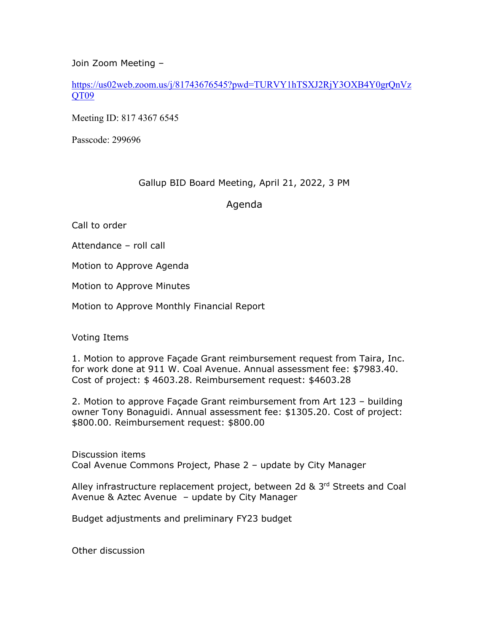Join Zoom Meeting –

https://us02web.zoom.us/j/81743676545?pwd=TURVY1hTSXJ2RjY3OXB4Y0grQnVz QT09

Meeting ID: 817 4367 6545

Passcode: 299696

## Gallup BID Board Meeting, April 21, 2022, 3 PM

Agenda

Call to order

Attendance – roll call

Motion to Approve Agenda

Motion to Approve Minutes

Motion to Approve Monthly Financial Report

Voting Items

1. Motion to approve Façade Grant reimbursement request from Taira, Inc. for work done at 911 W. Coal Avenue. Annual assessment fee: \$7983.40. Cost of project: \$ 4603.28. Reimbursement request: \$4603.28

2. Motion to approve Façade Grant reimbursement from Art 123 – building owner Tony Bonaguidi. Annual assessment fee: \$1305.20. Cost of project: \$800.00. Reimbursement request: \$800.00

Discussion items Coal Avenue Commons Project, Phase 2 – update by City Manager

Alley infrastructure replacement project, between 2d & 3rd Streets and Coal Avenue & Aztec Avenue – update by City Manager

Budget adjustments and preliminary FY23 budget

Other discussion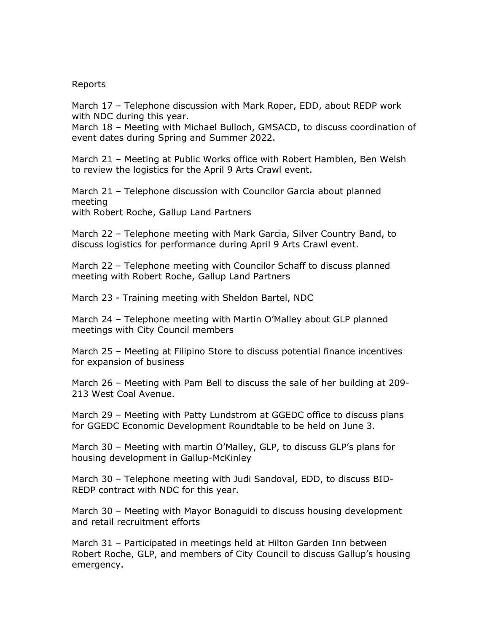## Reports

March 17 – Telephone discussion with Mark Roper, EDD, about REDP work with NDC during this year.

March 18 – Meeting with Michael Bulloch, GMSACD, to discuss coordination of event dates during Spring and Summer 2022.

March 21 – Meeting at Public Works office with Robert Hamblen, Ben Welsh to review the logistics for the April 9 Arts Crawl event.

March 21 – Telephone discussion with Councilor Garcia about planned meeting with Robert Roche, Gallup Land Partners

March 22 – Telephone meeting with Mark Garcia, Silver Country Band, to discuss logistics for performance during April 9 Arts Crawl event.

March 22 – Telephone meeting with Councilor Schaff to discuss planned meeting with Robert Roche, Gallup Land Partners

March 23 - Training meeting with Sheldon Bartel, NDC

March 24 – Telephone meeting with Martin O'Malley about GLP planned meetings with City Council members

March 25 – Meeting at Filipino Store to discuss potential finance incentives for expansion of business

March 26 – Meeting with Pam Bell to discuss the sale of her building at 209- 213 West Coal Avenue.

March 29 – Meeting with Patty Lundstrom at GGEDC office to discuss plans for GGEDC Economic Development Roundtable to be held on June 3.

March 30 – Meeting with martin O'Malley, GLP, to discuss GLP's plans for housing development in Gallup-McKinley

March 30 – Telephone meeting with Judi Sandoval, EDD, to discuss BID-REDP contract with NDC for this year.

March 30 – Meeting with Mayor Bonaguidi to discuss housing development and retail recruitment efforts

March 31 – Participated in meetings held at Hilton Garden Inn between Robert Roche, GLP, and members of City Council to discuss Gallup's housing emergency.